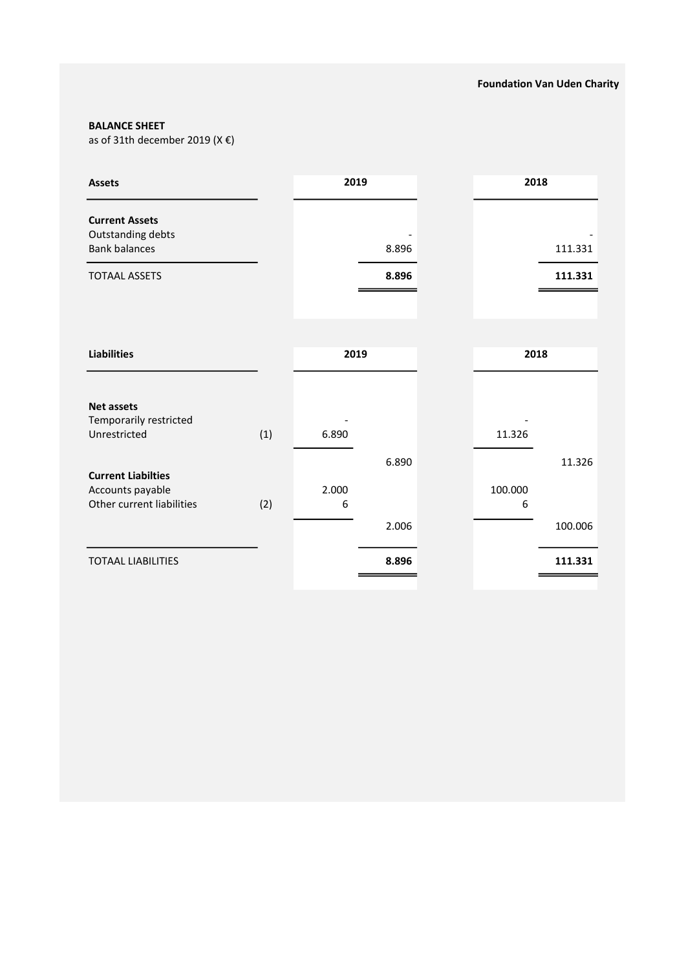### BALANCE SHEET

as of 31th december 2019 (X $\epsilon$ )

| <b>Assets</b>                                                              |     | 2019       |                | 2018 |              |                   |
|----------------------------------------------------------------------------|-----|------------|----------------|------|--------------|-------------------|
| <b>Current Assets</b><br>Outstanding debts<br><b>Bank balances</b>         |     |            | 8.896          |      |              | 111.331           |
| <b>TOTAAL ASSETS</b>                                                       |     |            | 8.896          |      |              | 111.331           |
|                                                                            |     |            |                |      |              |                   |
| <b>Liabilities</b>                                                         |     | 2019       |                |      |              | 2018              |
| <b>Net assets</b><br>Temporarily restricted<br>Unrestricted                | (1) | 6.890      |                |      | 11.326       |                   |
| <b>Current Liabilties</b><br>Accounts payable<br>Other current liabilities | (2) | 2.000<br>6 | 6.890<br>2.006 |      | 100.000<br>6 | 11.326<br>100.006 |
| <b>TOTAAL LIABILITIES</b>                                                  |     |            | 8.896          |      |              | 111.331           |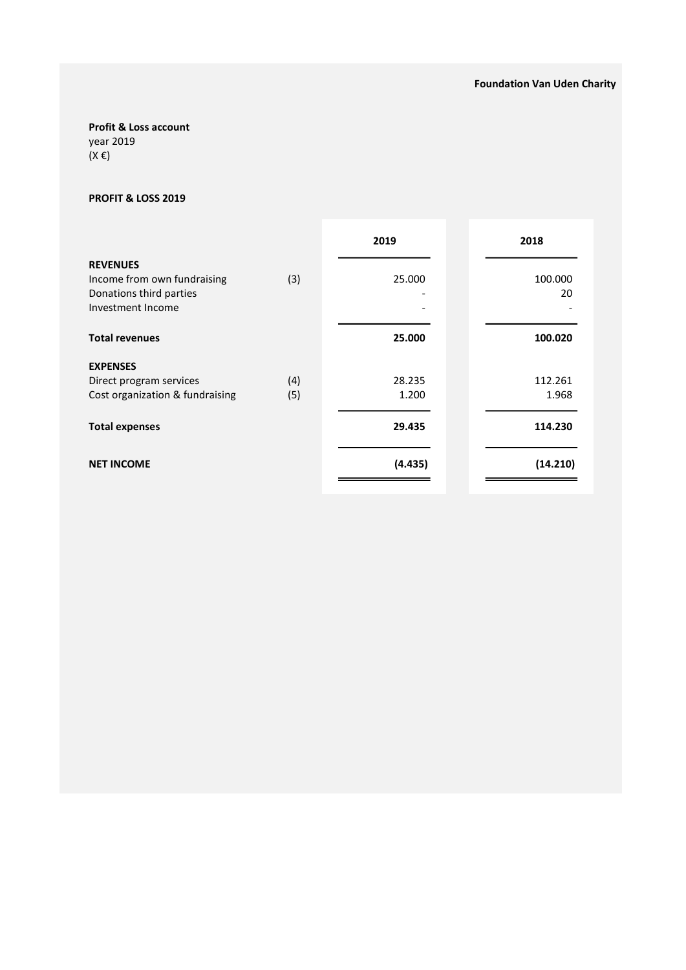# Profit & Loss account

year 2019 (X €)

### PROFIT & LOSS 2019

|                                 |     | 2019    | 2018     |
|---------------------------------|-----|---------|----------|
| <b>REVENUES</b>                 |     |         |          |
| Income from own fundraising     | (3) | 25.000  | 100.000  |
| Donations third parties         |     |         | 20       |
| Investment Income               |     |         |          |
|                                 |     |         |          |
| <b>Total revenues</b>           |     | 25.000  | 100.020  |
| <b>EXPENSES</b>                 |     |         |          |
| Direct program services         | (4) | 28.235  | 112.261  |
| Cost organization & fundraising | (5) | 1.200   | 1.968    |
|                                 |     |         |          |
| <b>Total expenses</b>           |     | 29.435  | 114.230  |
|                                 |     |         |          |
| <b>NET INCOME</b>               |     | (4.435) | (14.210) |
|                                 |     |         |          |